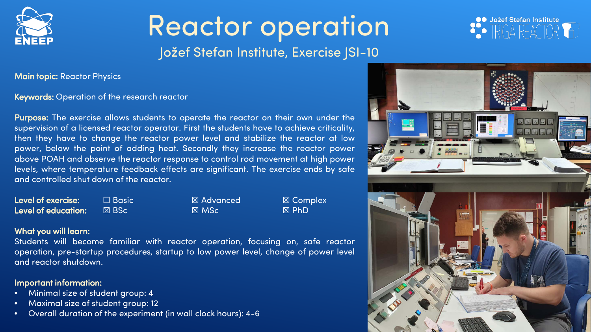

## Reactor operation Jožef Stefan Institute, Exercise JSI-10



Main topic: Reactor Physics

#### Keywords: Operation of the research reactor

Purpose: The exercise allows students to operate the reactor on their own under the supervision of a licensed reactor operator. First the students have to achieve criticality, then they have to change the reactor power level and stabilize the reactor at low power, below the point of adding heat. Secondly they increase the reactor power above POAH and observe the reactor response to control rod movement at high power levels, where temperature feedback effects are significant. The exercise ends by safe and controlled shut down of the reactor.

| Level of exercise:  | $\square$ Basic | $\boxtimes$ Advanced | $\boxtimes$ Com |
|---------------------|-----------------|----------------------|-----------------|
| Level of education: | I⊠ BSc '        | $\boxtimes$ MSc      | $\boxtimes$ PhD |

 $\boxtimes$  Advanced  $\boxtimes$  Complex

### What you will learn:

Students will become familiar with reactor operation, focusing on, safe reactor operation, pre-startup procedures, startup to low power level, change of power level and reactor shutdown.

### Important information:

- Minimal size of student group: 4
- Maximal size of student group: 12
- Overall duration of the experiment (in wall clock hours): 4-6